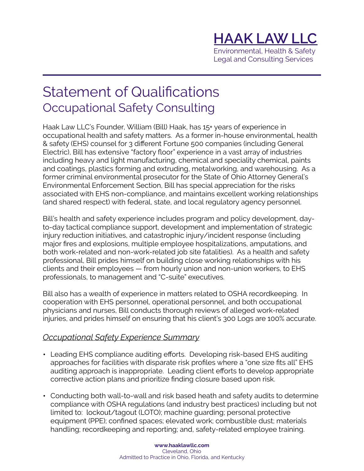## **HAAK LAW LLC**  Environmental, Health & Safety

Legal and Consulting Services

## Statement of Qualifications Occupational Safety Consulting

Haak Law LLC's Founder, William (Bill) Haak, has 15+ years of experience in occupational health and safety matters. As a former in-house environmental, health & safety (EHS) counsel for 3 different Fortune 500 companies (including General Electric), Bill has extensive "factory floor" experience in a vast array of industries including heavy and light manufacturing, chemical and speciality chemical, paints and coatings, plastics forming and extruding, metalworking, and warehousing. As a former criminal environmental prosecutor for the State of Ohio Attorney General's Environmental Enforcement Section, Bill has special appreciation for the risks associated with EHS non-compliance, and maintains excellent working relationships (and shared respect) with federal, state, and local regulatory agency personnel.

Bill's health and safety experience includes program and policy development, dayto-day tactical compliance support, development and implementation of strategic injury reduction initiatives, and catastrophic injury/incident response (including major fires and explosions, multiple employee hospitalizations, amputations, and both work-related and non-work-related job site fatalities). As a health and safety professional, Bill prides himself on building close working relationships with his clients and their employees — from hourly union and non-union workers, to EHS professionals, to management and "C-suite" executives.

Bill also has a wealth of experience in matters related to OSHA recordkeeping. In cooperation with EHS personnel, operational personnel, and both occupational physicians and nurses, Bill conducts thorough reviews of alleged work-related injuries, and prides himself on ensuring that his client's 300 Logs are 100% accurate.

## *Occupational Safety Experience Summary*

- Leading EHS compliance auditing efforts. Developing risk-based EHS auditing approaches for facilities with disparate risk profiles where a "one size fits all" EHS auditing approach is inappropriate. Leading client efforts to develop appropriate corrective action plans and prioritize finding closure based upon risk.
- Conducting both wall-to-wall and risk based heath and safety audits to determine compliance with OSHA regulations (and industry best practices) including but not limited to: lockout/tagout (LOTO); machine guarding; personal protective equipment (PPE); confined spaces; elevated work; combustible dust; materials handling; recordkeeping and reporting; and, safety-related employee training.